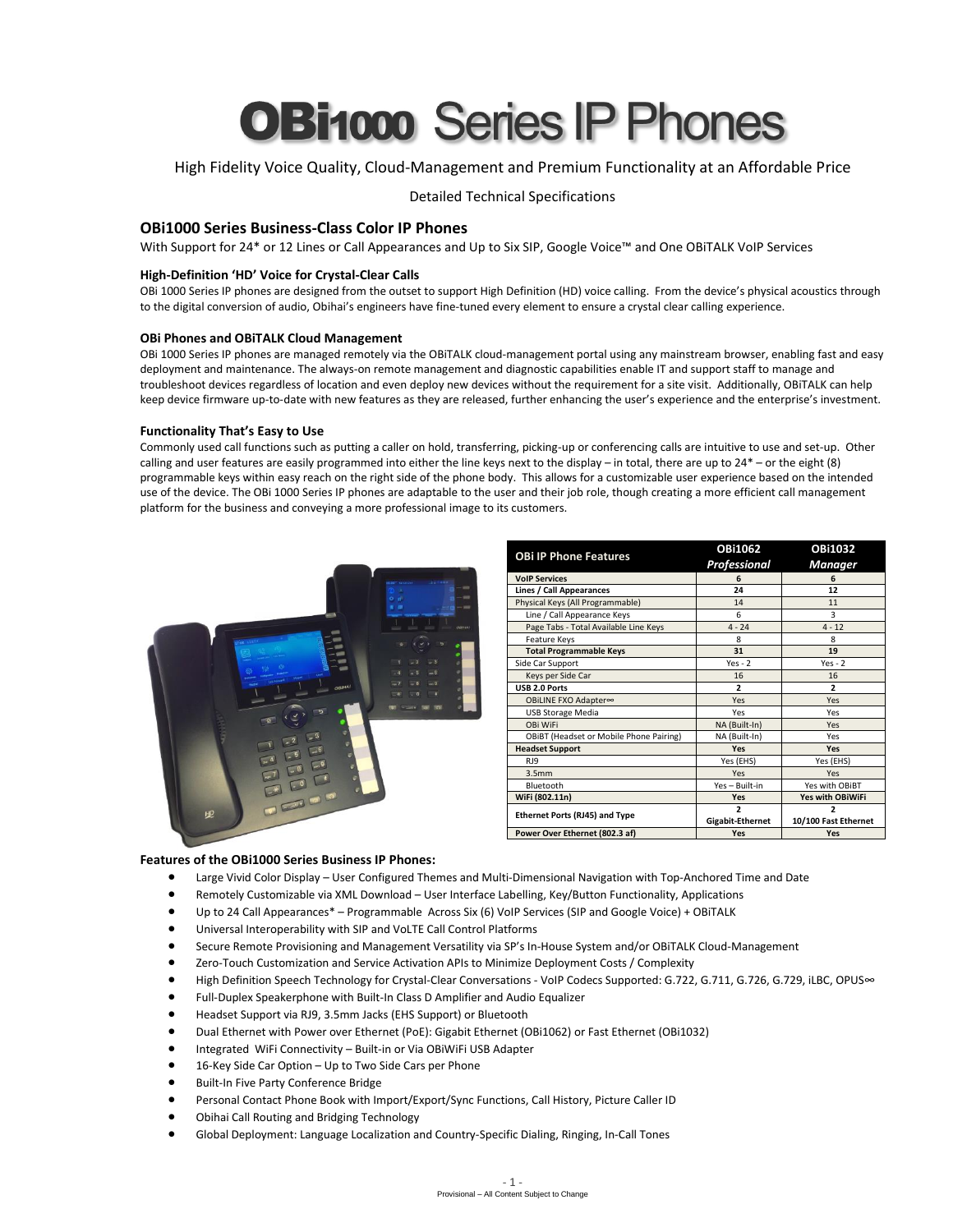# **OBi1000 Series IP Phones**

# High Fidelity Voice Quality, Cloud-Management and Premium Functionality at an Affordable Price

Detailed Technical Specifications

# **OBi1000 Series Business-Class Color IP Phones**

With Support for 24\* or 12 Lines or Call Appearances and Up to Six SIP, Google Voice™ and One OBiTALK VoIP Services

# **High-Definition 'HD' Voice for Crystal-Clear Calls**

OBi 1000 Series IP phones are designed from the outset to support High Definition (HD) voice calling. From the device's physical acoustics through to the digital conversion of audio, Obihai's engineers have fine-tuned every element to ensure a crystal clear calling experience.

#### **OBi Phones and OBiTALK Cloud Management**

OBi 1000 Series IP phones are managed remotely via the OBiTALK cloud-management portal using any mainstream browser, enabling fast and easy deployment and maintenance. The always-on remote management and diagnostic capabilities enable IT and support staff to manage and troubleshoot devices regardless of location and even deploy new devices without the requirement for a site visit. Additionally, OBiTALK can help keep device firmware up-to-date with new features as they are released, further enhancing the user's experience and the enterprise's investment.

#### **Functionality That's Easy to Use**

Commonly used call functions such as putting a caller on hold, transferring, picking-up or conferencing calls are intuitive to use and set-up. Other calling and user features are easily programmed into either the line keys next to the display – in total, there are up to 24\* – or the eight (8) programmable keys within easy reach on the right side of the phone body. This allows for a customizable user experience based on the intended use of the device. The OBi 1000 Series IP phones are adaptable to the user and their job role, though creating a more efficient call management platform for the business and conveying a more professional image to its customers.



| <b>OBi IP Phone Features</b>            | <b>OBi1062</b>                               | <b>OBi1032</b>                                   |
|-----------------------------------------|----------------------------------------------|--------------------------------------------------|
|                                         | Professional                                 | <b>Manager</b>                                   |
| <b>VoIP Services</b>                    | 6                                            | 6                                                |
| Lines / Call Appearances                | 24                                           | 12                                               |
| Physical Keys (All Programmable)        | 14                                           | 11                                               |
| Line / Call Appearance Keys             | 6                                            | 3                                                |
| Page Tabs - Total Available Line Keys   | $4 - 24$                                     | $4 - 12$                                         |
| Feature Keys                            | 8                                            | 8                                                |
| <b>Total Programmable Keys</b>          | 31                                           | 19                                               |
| Side Car Support                        | $Yes - 2$                                    | $Yes - 2$                                        |
| Keys per Side Car                       | 16                                           | 16                                               |
| USB 2.0 Ports                           | $\overline{2}$                               | $\overline{2}$                                   |
| OBiLINE FXO Adapter∞                    | Yes                                          | Yes                                              |
| <b>USB Storage Media</b>                | Yes                                          | Yes                                              |
| OBi WiFi                                | NA (Built-In)                                | Yes                                              |
| OBIBT (Headset or Mobile Phone Pairing) | NA (Built-In)                                | Yes                                              |
| <b>Headset Support</b>                  | Yes                                          | Yes                                              |
| RJ9                                     | Yes (EHS)                                    | Yes (EHS)                                        |
| 3.5 <sub>mm</sub>                       | Yes                                          | Yes                                              |
| Bluetooth                               | Yes - Built-in                               | Yes with OBiBT                                   |
| WiFi (802.11n)                          | Yes                                          | <b>Yes with OBiWiFi</b>                          |
| <b>Ethernet Ports (RJ45) and Type</b>   | $\overline{\phantom{a}}$<br>Gigabit-Ethernet | $\overline{\phantom{a}}$<br>10/100 Fast Ethernet |
| Power Over Ethernet (802.3 af)          | Yes                                          | Yes                                              |

#### **Features of the OBi1000 Series Business IP Phones:**

- Large Vivid Color Display User Configured Themes and Multi-Dimensional Navigation with Top-Anchored Time and Date
- Remotely Customizable via XML Download User Interface Labelling, Key/Button Functionality, Applications
- Up to 24 Call Appearances\* Programmable Across Six (6) VoIP Services (SIP and Google Voice) + OBiTALK
- Universal Interoperability with SIP and VoLTE Call Control Platforms
- Secure Remote Provisioning and Management Versatility via SP's In-House System and/or OBiTALK Cloud-Management
- Zero-Touch Customization and Service Activation APIs to Minimize Deployment Costs / Complexity
- High Definition Speech Technology for Crystal-Clear Conversations VoIP Codecs Supported: G.722, G.711, G.726, G.729, iLBC, OPUS∞
- Full-Duplex Speakerphone with Built-In Class D Amplifier and Audio Equalizer
- Headset Support via RJ9, 3.5mm Jacks (EHS Support) or Bluetooth
- Dual Ethernet with Power over Ethernet (PoE): Gigabit Ethernet (OBi1062) or Fast Ethernet (OBi1032)
- Integrated WiFi Connectivity Built-in or Via OBiWiFi USB Adapter
- 16-Key Side Car Option Up to Two Side Cars per Phone
- **•** Built-In Five Party Conference Bridge
- Personal Contact Phone Book with Import/Export/Sync Functions, Call History, Picture Caller ID
- Obihai Call Routing and Bridging Technology
- Global Deployment: Language Localization and Country-Specific Dialing, Ringing, In-Call Tones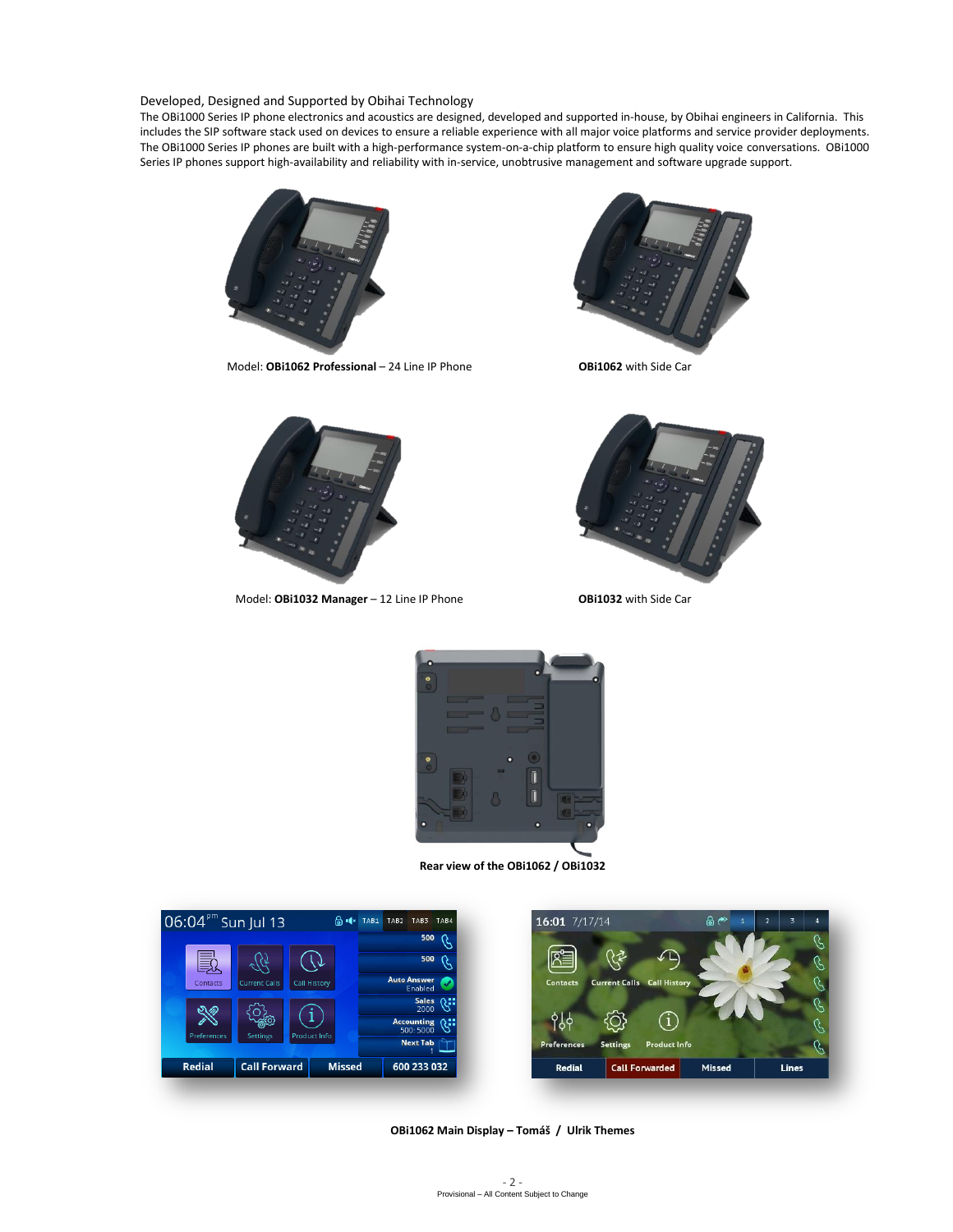Developed, Designed and Supported by Obihai Technology

The OBi1000 Series IP phone electronics and acoustics are designed, developed and supported in-house, by Obihai engineers in California. This includes the SIP software stack used on devices to ensure a reliable experience with all major voice platforms and service provider deployments. The OBi1000 Series IP phones are built with a high-performance system-on-a-chip platform to ensure high quality voice conversations. OBi1000 Series IP phones support high-availability and reliability with in-service, unobtrusive management and software upgrade support.



Model: **OBi1062 Professional** – 24 Line IP Phone **OBi1062** with Side Car





Model: **OBi1032 Manager** – 12 Line IP Phone **OBi1032** with Side Car





**Rear view of the OBi1062 / OBi1032**



**OBi1062 Main Display – Tomáš / Ulrik Themes**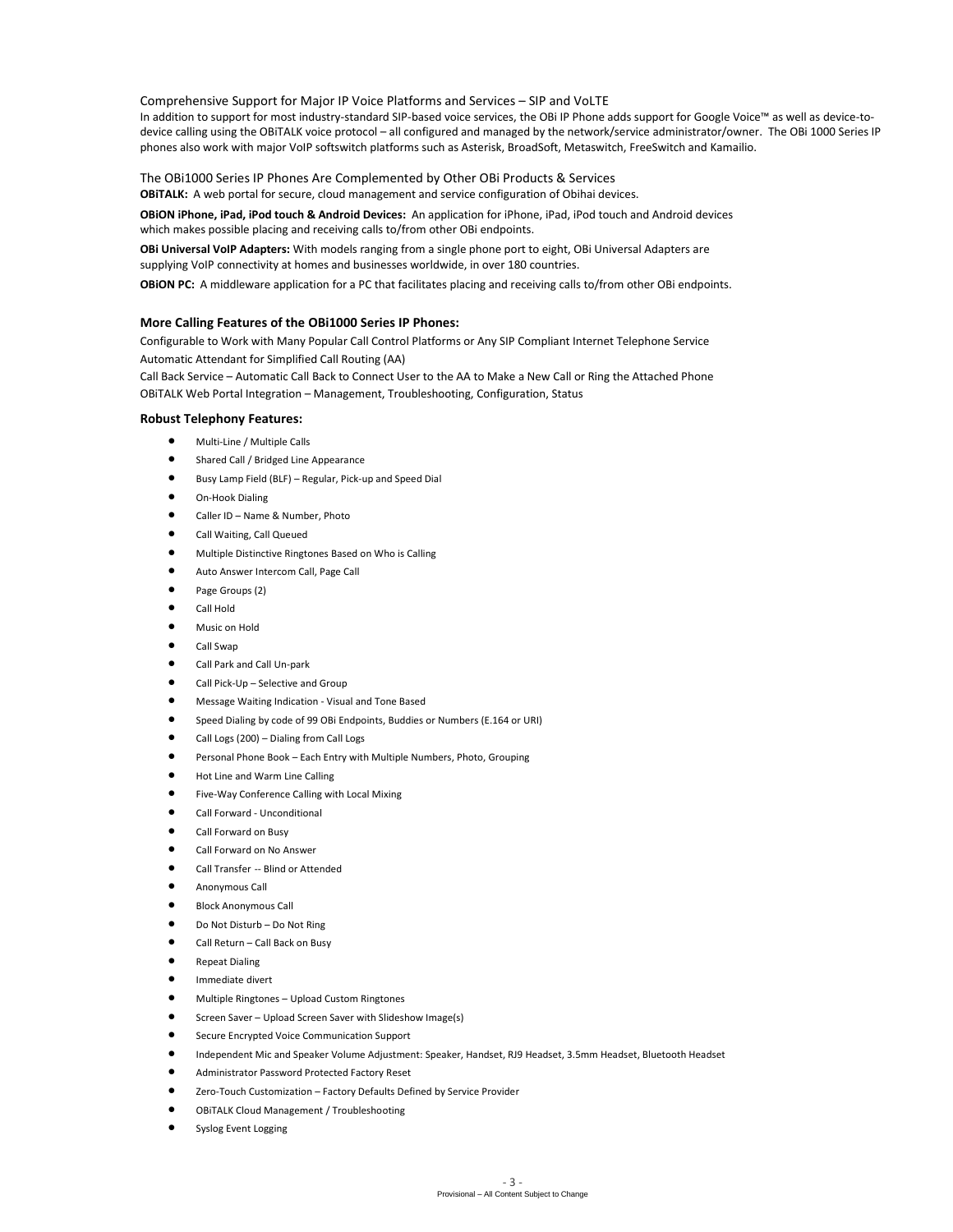Comprehensive Support for Major IP Voice Platforms and Services – SIP and VoLTE

In addition to support for most industry-standard SIP-based voice services, the OBi IP Phone adds support for Google Voice™ as well as device-todevice calling using the OBiTALK voice protocol – all configured and managed by the network/service administrator/owner. The OBi 1000 Series IP phones also work with major VoIP softswitch platforms such as Asterisk, BroadSoft, Metaswitch, FreeSwitch and Kamailio.

The OBi1000 Series IP Phones Are Complemented by Other OBi Products & Services

**OBiTALK:** A web portal for secure, cloud management and service configuration of Obihai devices.

**OBiON iPhone, iPad, iPod touch & Android Devices:** An application for iPhone, iPad, iPod touch and Android devices which makes possible placing and receiving calls to/from other OBi endpoints.

**OBi Universal VoIP Adapters:** With models ranging from a single phone port to eight, OBi Universal Adapters are supplying VoIP connectivity at homes and businesses worldwide, in over 180 countries.

**OBiON PC:** A middleware application for a PC that facilitates placing and receiving calls to/from other OBi endpoints.

#### **More Calling Features of the OBi1000 Series IP Phones:**

Configurable to Work with Many Popular Call Control Platforms or Any SIP Compliant Internet Telephone Service Automatic Attendant for Simplified Call Routing (AA)

Call Back Service – Automatic Call Back to Connect User to the AA to Make a New Call or Ring the Attached Phone OBiTALK Web Portal Integration – Management, Troubleshooting, Configuration, Status

#### **Robust Telephony Features:**

- Multi-Line / Multiple Calls
- Shared Call / Bridged Line Appearance
- Busy Lamp Field (BLF) Regular, Pick-up and Speed Dial
- On-Hook Dialing
- Caller ID Name & Number, Photo
- Call Waiting, Call Queued
- Multiple Distinctive Ringtones Based on Who is Calling
- Auto Answer Intercom Call, Page Call
- Page Groups (2)
- Call Hold
- Music on Hold
- Call Swap
- Call Park and Call Un-park
- Call Pick-Up Selective and Group
- Message Waiting Indication Visual and Tone Based
- Speed Dialing by code of 99 OBi Endpoints, Buddies or Numbers (E.164 or URI)
- Call Logs (200) Dialing from Call Logs
- Personal Phone Book Each Entry with Multiple Numbers, Photo, Grouping
- Hot Line and Warm Line Calling
- Five-Way Conference Calling with Local Mixing
- Call Forward Unconditional
- Call Forward on Busy
- Call Forward on No Answer
- Call Transfer -- Blind or Attended
- Anonymous Call
- Block Anonymous Call
- Do Not Disturb Do Not Ring
- Call Return Call Back on Busy
- Repeat Dialing
- Immediate divert
- Multiple Ringtones Upload Custom Ringtones
- Screen Saver Upload Screen Saver with Slideshow Image(s)
- Secure Encrypted Voice Communication Support
- Independent Mic and Speaker Volume Adjustment: Speaker, Handset, RJ9 Headset, 3.5mm Headset, Bluetooth Headset
- Administrator Password Protected Factory Reset
- Zero-Touch Customization Factory Defaults Defined by Service Provider
- OBiTALK Cloud Management / Troubleshooting
- Syslog Event Logging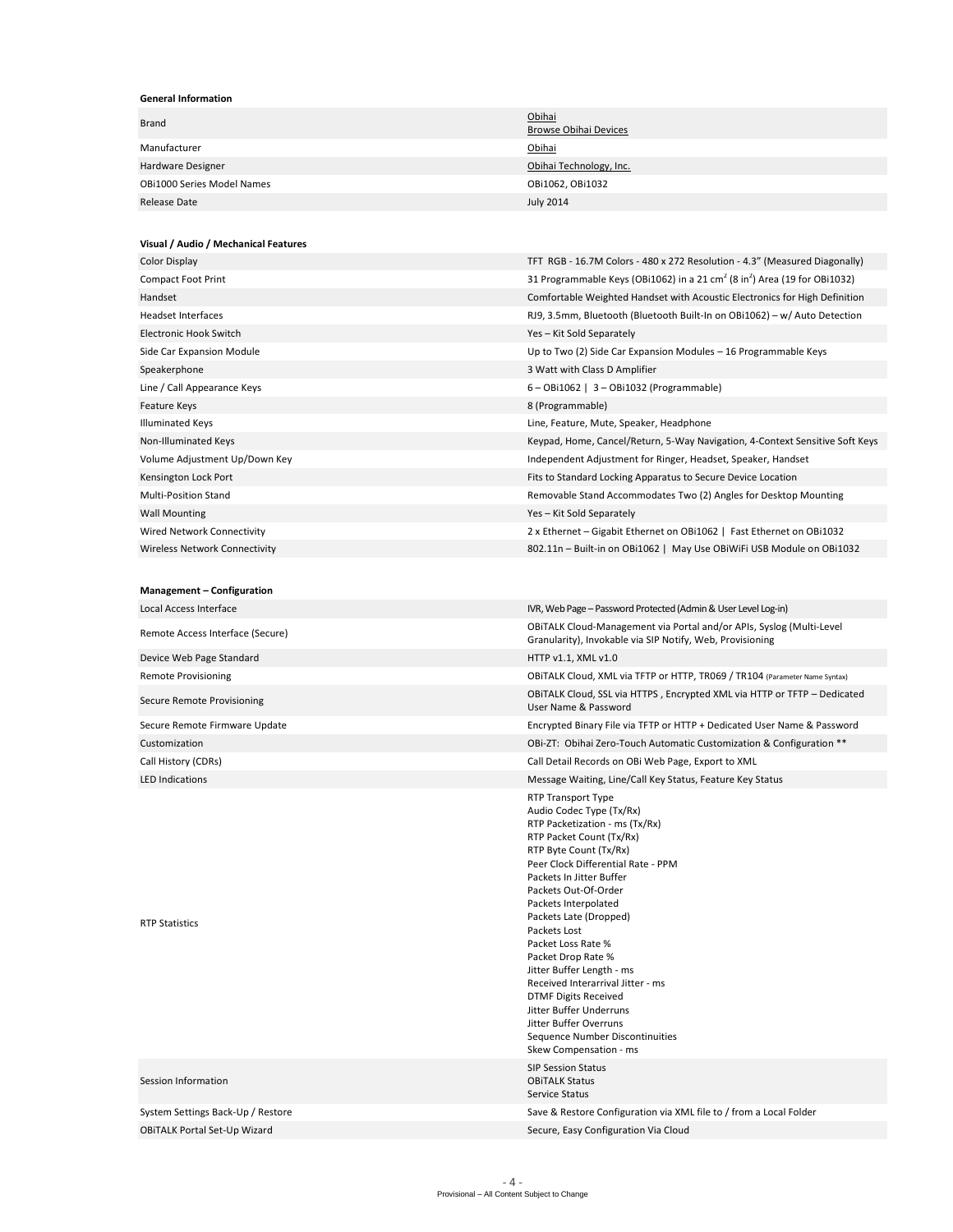#### **General Information**

| Brand                                | Obihai<br><b>Browse Obihai Devices</b>                                                                                                                                                                                                                                                                                                                                                                                                                                                                                                                            |  |
|--------------------------------------|-------------------------------------------------------------------------------------------------------------------------------------------------------------------------------------------------------------------------------------------------------------------------------------------------------------------------------------------------------------------------------------------------------------------------------------------------------------------------------------------------------------------------------------------------------------------|--|
| Manufacturer                         | Obihai                                                                                                                                                                                                                                                                                                                                                                                                                                                                                                                                                            |  |
| Hardware Designer                    | Obihai Technology, Inc.                                                                                                                                                                                                                                                                                                                                                                                                                                                                                                                                           |  |
| <b>OBi1000 Series Model Names</b>    | OBi1062, OBi1032                                                                                                                                                                                                                                                                                                                                                                                                                                                                                                                                                  |  |
| <b>Release Date</b>                  | <b>July 2014</b>                                                                                                                                                                                                                                                                                                                                                                                                                                                                                                                                                  |  |
|                                      |                                                                                                                                                                                                                                                                                                                                                                                                                                                                                                                                                                   |  |
| Visual / Audio / Mechanical Features |                                                                                                                                                                                                                                                                                                                                                                                                                                                                                                                                                                   |  |
| Color Display                        | TFT RGB - 16.7M Colors - 480 x 272 Resolution - 4.3" (Measured Diagonally)                                                                                                                                                                                                                                                                                                                                                                                                                                                                                        |  |
| <b>Compact Foot Print</b>            | 31 Programmable Keys (OBi1062) in a 21 cm <sup>2</sup> (8 in <sup>2</sup> ) Area (19 for OBi1032)                                                                                                                                                                                                                                                                                                                                                                                                                                                                 |  |
| Handset                              | Comfortable Weighted Handset with Acoustic Electronics for High Definition                                                                                                                                                                                                                                                                                                                                                                                                                                                                                        |  |
| <b>Headset Interfaces</b>            | RJ9, 3.5mm, Bluetooth (Bluetooth Built-In on OBi1062) - w/ Auto Detection                                                                                                                                                                                                                                                                                                                                                                                                                                                                                         |  |
| Electronic Hook Switch               | Yes - Kit Sold Separately                                                                                                                                                                                                                                                                                                                                                                                                                                                                                                                                         |  |
| Side Car Expansion Module            | Up to Two (2) Side Car Expansion Modules - 16 Programmable Keys                                                                                                                                                                                                                                                                                                                                                                                                                                                                                                   |  |
| Speakerphone                         | 3 Watt with Class D Amplifier                                                                                                                                                                                                                                                                                                                                                                                                                                                                                                                                     |  |
| Line / Call Appearance Keys          | $6 - OB$ 1062   3 - OBi1032 (Programmable)                                                                                                                                                                                                                                                                                                                                                                                                                                                                                                                        |  |
| Feature Keys                         | 8 (Programmable)                                                                                                                                                                                                                                                                                                                                                                                                                                                                                                                                                  |  |
| <b>Illuminated Keys</b>              | Line, Feature, Mute, Speaker, Headphone                                                                                                                                                                                                                                                                                                                                                                                                                                                                                                                           |  |
| Non-Illuminated Keys                 | Keypad, Home, Cancel/Return, 5-Way Navigation, 4-Context Sensitive Soft Keys                                                                                                                                                                                                                                                                                                                                                                                                                                                                                      |  |
| Volume Adjustment Up/Down Key        | Independent Adjustment for Ringer, Headset, Speaker, Handset                                                                                                                                                                                                                                                                                                                                                                                                                                                                                                      |  |
| Kensington Lock Port                 | Fits to Standard Locking Apparatus to Secure Device Location                                                                                                                                                                                                                                                                                                                                                                                                                                                                                                      |  |
| <b>Multi-Position Stand</b>          | Removable Stand Accommodates Two (2) Angles for Desktop Mounting                                                                                                                                                                                                                                                                                                                                                                                                                                                                                                  |  |
| <b>Wall Mounting</b>                 | Yes - Kit Sold Separately                                                                                                                                                                                                                                                                                                                                                                                                                                                                                                                                         |  |
| Wired Network Connectivity           | 2 x Ethernet – Gigabit Ethernet on OBi1062   Fast Ethernet on OBi1032                                                                                                                                                                                                                                                                                                                                                                                                                                                                                             |  |
| <b>Wireless Network Connectivity</b> | 802.11n - Built-in on OBi1062   May Use OBiWiFi USB Module on OBi1032                                                                                                                                                                                                                                                                                                                                                                                                                                                                                             |  |
|                                      |                                                                                                                                                                                                                                                                                                                                                                                                                                                                                                                                                                   |  |
| Management - Configuration           |                                                                                                                                                                                                                                                                                                                                                                                                                                                                                                                                                                   |  |
| Local Access Interface               | IVR, Web Page - Password Protected (Admin & User Level Log-in)                                                                                                                                                                                                                                                                                                                                                                                                                                                                                                    |  |
| Remote Access Interface (Secure)     | OBITALK Cloud-Management via Portal and/or APIs, Syslog (Multi-Level<br>Granularity), Invokable via SIP Notify, Web, Provisioning                                                                                                                                                                                                                                                                                                                                                                                                                                 |  |
| Device Web Page Standard             | HTTP v1.1, XML v1.0                                                                                                                                                                                                                                                                                                                                                                                                                                                                                                                                               |  |
| <b>Remote Provisioning</b>           | OBITALK Cloud, XML via TFTP or HTTP, TR069 / TR104 (Parameter Name Syntax)                                                                                                                                                                                                                                                                                                                                                                                                                                                                                        |  |
| Secure Remote Provisioning           | OBITALK Cloud, SSL via HTTPS, Encrypted XML via HTTP or TFTP - Dedicated<br>User Name & Password                                                                                                                                                                                                                                                                                                                                                                                                                                                                  |  |
| Secure Remote Firmware Update        | Encrypted Binary File via TFTP or HTTP + Dedicated User Name & Password                                                                                                                                                                                                                                                                                                                                                                                                                                                                                           |  |
| Customization                        | OBi-ZT: Obihai Zero-Touch Automatic Customization & Configuration **                                                                                                                                                                                                                                                                                                                                                                                                                                                                                              |  |
| Call History (CDRs)                  | Call Detail Records on OBi Web Page, Export to XML                                                                                                                                                                                                                                                                                                                                                                                                                                                                                                                |  |
| <b>LED Indications</b>               | Message Waiting, Line/Call Key Status, Feature Key Status                                                                                                                                                                                                                                                                                                                                                                                                                                                                                                         |  |
| <b>RTP Statistics</b>                | RTP Transport Type<br>Audio Codec Type (Tx/Rx)<br>RTP Packetization - ms (Tx/Rx)<br>RTP Packet Count (Tx/Rx)<br>RTP Byte Count (Tx/Rx)<br>Peer Clock Differential Rate - PPM<br>Packets In Jitter Buffer<br>Packets Out-Of-Order<br>Packets Interpolated<br>Packets Late (Dropped)<br>Packets Lost<br>Packet Loss Rate %<br>Packet Drop Rate %<br>Jitter Buffer Length - ms<br>Received Interarrival Jitter - ms<br><b>DTMF Digits Received</b><br>Jitter Buffer Underruns<br>Jitter Buffer Overruns<br>Sequence Number Discontinuities<br>Skew Compensation - ms |  |
| Session Information                  | <b>SIP Session Status</b><br><b>OBITALK Status</b><br>Service Status                                                                                                                                                                                                                                                                                                                                                                                                                                                                                              |  |
| System Settings Back-Up / Restore    | Save & Restore Configuration via XML file to / from a Local Folder                                                                                                                                                                                                                                                                                                                                                                                                                                                                                                |  |
| <b>OBITALK Portal Set-Up Wizard</b>  | Secure, Easy Configuration Via Cloud                                                                                                                                                                                                                                                                                                                                                                                                                                                                                                                              |  |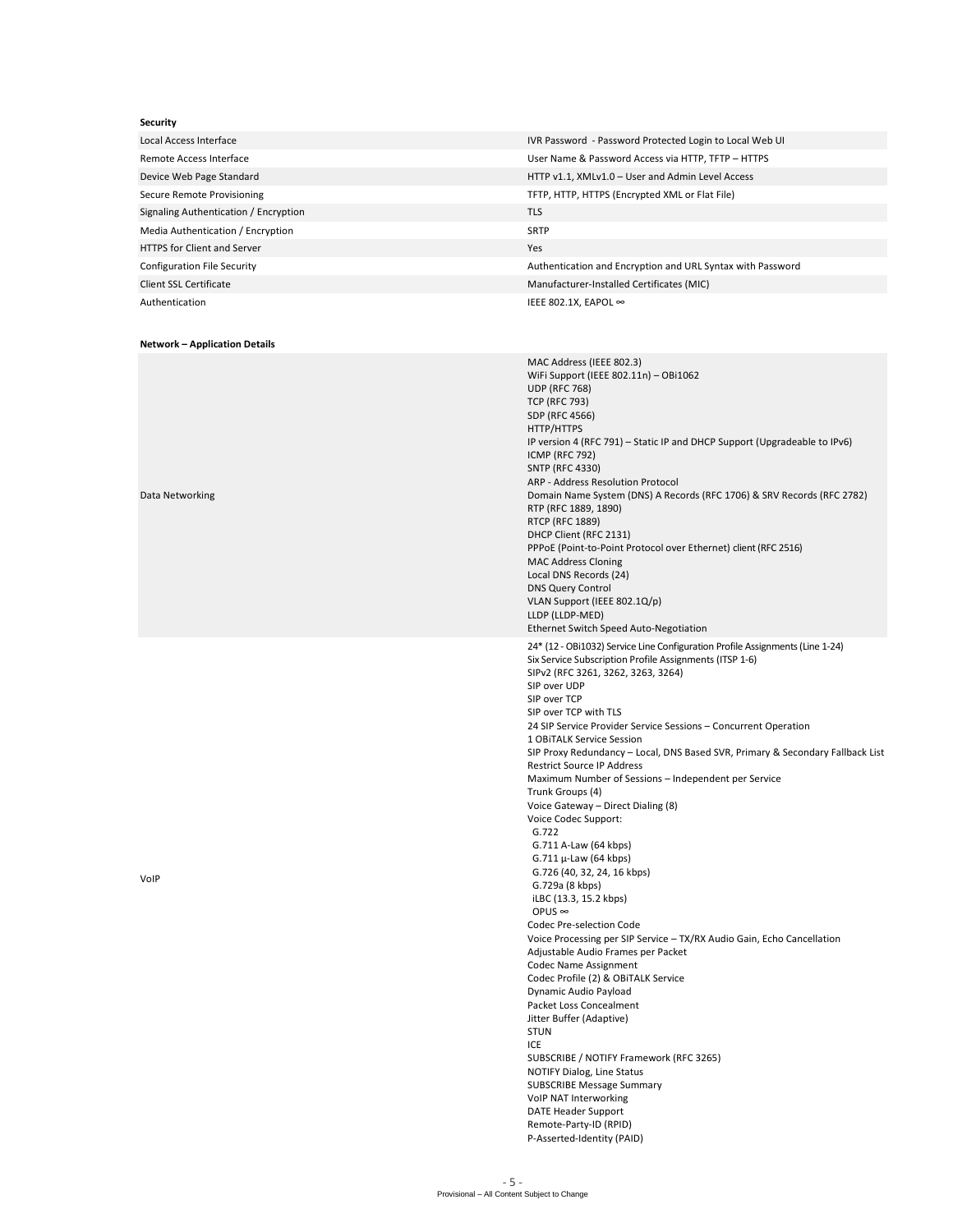| Security                              |                                                                                                                   |  |
|---------------------------------------|-------------------------------------------------------------------------------------------------------------------|--|
| Local Access Interface                | IVR Password - Password Protected Login to Local Web UI                                                           |  |
| Remote Access Interface               | User Name & Password Access via HTTP, TFTP - HTTPS                                                                |  |
| Device Web Page Standard              | HTTP v1.1, XMLv1.0 - User and Admin Level Access                                                                  |  |
| Secure Remote Provisioning            | TFTP, HTTP, HTTPS (Encrypted XML or Flat File)                                                                    |  |
| Signaling Authentication / Encryption | <b>TLS</b>                                                                                                        |  |
| Media Authentication / Encryption     | <b>SRTP</b>                                                                                                       |  |
| <b>HTTPS for Client and Server</b>    | Yes                                                                                                               |  |
| <b>Configuration File Security</b>    | Authentication and Encryption and URL Syntax with Password                                                        |  |
| Client SSL Certificate                | Manufacturer-Installed Certificates (MIC)                                                                         |  |
| Authentication                        | IEEE 802.1X, EAPOL ∞                                                                                              |  |
|                                       |                                                                                                                   |  |
| <b>Network - Application Details</b>  |                                                                                                                   |  |
|                                       | MAC Address (IEEE 802.3)<br>WiFi Support (IEEE 802.11n) - OBi1062<br><b>UDP (RFC 768)</b><br><b>TCP (RFC 793)</b> |  |

SDP (RFC 4566) HTTP/HTTPS

ICMP (RFC 792) SNTP (RFC 4330)

RTP (RFC 1889, 1890) RTCP (RFC 1889) DHCP Client (RFC 2131)

MAC Address Cloning Local DNS Records (24) DNS Query Control VLAN Support (IEEE 802.1Q/p)

LLDP (LLDP-MED)

SIP over UDP SIP over TCP SIP over TCP with TLS

ARP - Address Resolution Protocol

Ethernet Switch Speed Auto-Negotiation

SIPv2 (RFC 3261, 3262, 3263, 3264)

1 OBiTALK Service Session

Restrict Source IP Address

 G.711 A-Law (64 kbps) G.711  $\mu$ -Law (64 kbps) G.726 (40, 32, 24, 16 kbps) G.729a (8 kbps) iLBC (13.3, 15.2 kbps)

Codec Pre-selection Code

NOTIFY Dialog, Line Status SUBSCRIBE Message Summary VoIP NAT Interworking DATE Header Support Remote-Party-ID (RPID) P-Asserted-Identity (PAID)

Adjustable Audio Frames per Packet Codec Name Assignment Codec Profile (2) & OBiTALK Service Dynamic Audio Payload Packet Loss Concealment Jitter Buffer (Adaptive)

SUBSCRIBE / NOTIFY Framework (RFC 3265)

Voice Gateway – Direct Dialing (8) Voice Codec Support:

Trunk Groups (4)

G.722

OPUS ∞

STUN ICE

Six Service Subscription Profile Assignments (ITSP 1-6)

IP version 4 (RFC 791) – Static IP and DHCP Support (Upgradeable to IPv6)

Domain Name System (DNS) A Records (RFC 1706) & SRV Records (RFC 2782)

PPPoE (Point-to-Point Protocol over Ethernet) client (RFC 2516)

24\* (12 - OBi1032) Service Line Configuration Profile Assignments (Line 1-24)

24 SIP Service Provider Service Sessions – Concurrent Operation

Voice Processing per SIP Service – TX/RX Audio Gain, Echo Cancellation

Maximum Number of Sessions – Independent per Service

SIP Proxy Redundancy – Local, DNS Based SVR, Primary & Secondary Fallback List

Data Networking

VoIP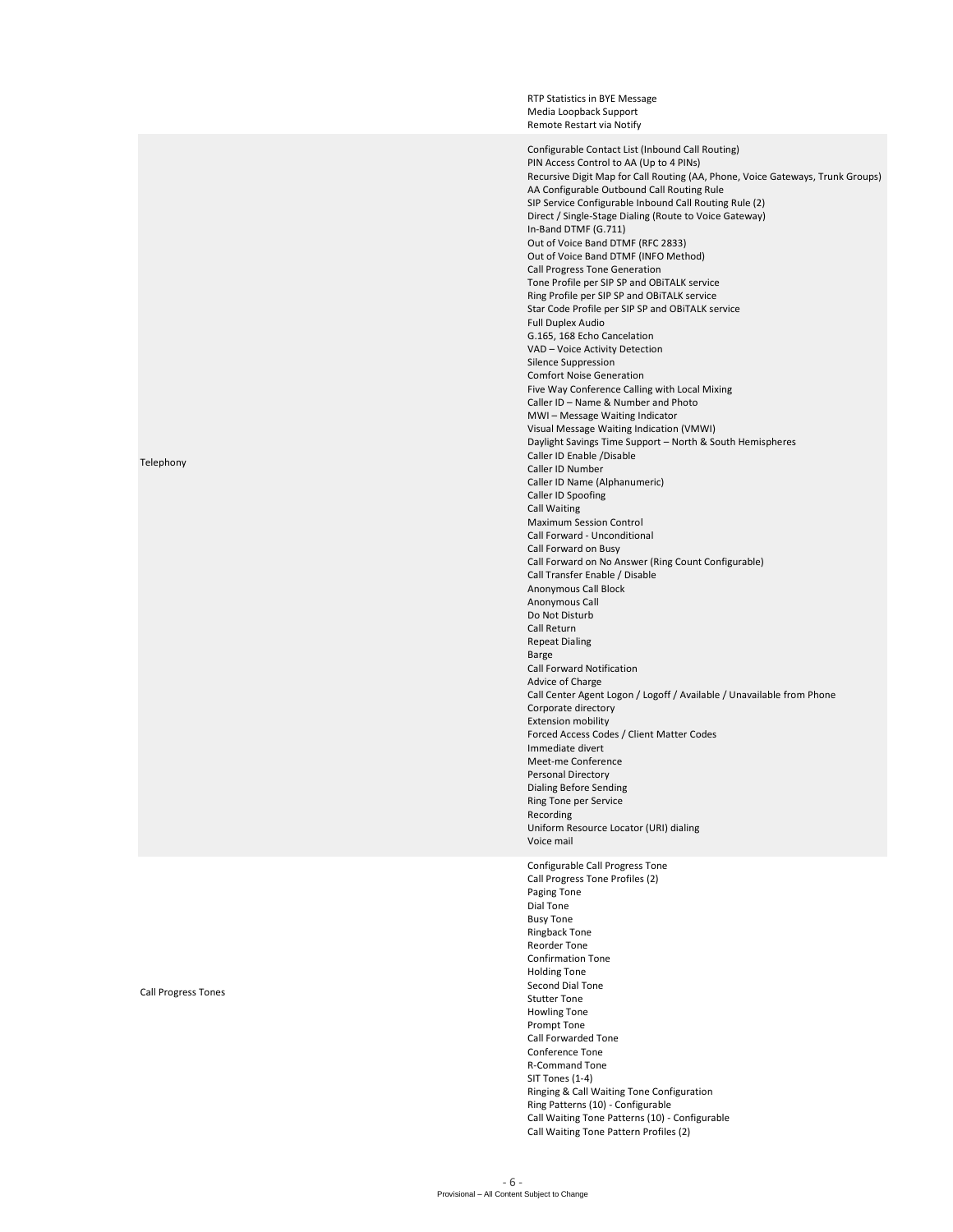RTP Statistics in BYE Message Media Loopback Support Remote Restart via Notify Configurable Contact List (Inbound Call Routing) PIN Access Control to AA (Up to 4 PINs) Recursive Digit Map for Call Routing (AA, Phone, Voice Gateways, Trunk Groups) AA Configurable Outbound Call Routing Rule SIP Service Configurable Inbound Call Routing Rule (2) Direct / Single-Stage Dialing (Route to Voice Gateway) In-Band DTMF (G.711) Out of Voice Band DTMF (RFC 2833) Out of Voice Band DTMF (INFO Method) Call Progress Tone Generation Tone Profile per SIP SP and OBiTALK service Ring Profile per SIP SP and OBiTALK service Star Code Profile per SIP SP and OBiTALK service Full Duplex Audio G.165, 168 Echo Cancelation VAD – Voice Activity Detection Silence Suppression Comfort Noise Generation Five Way Conference Calling with Local Mixing Caller ID – Name & Number and Photo MWI – Message Waiting Indicator Visual Message Waiting Indication (VMWI) Daylight Savings Time Support – North & South Hemispheres Caller ID Enable /Disable Caller ID Number Caller ID Name (Alphanumeric) Caller ID Spoofing Call Waiting Maximum Session Control Call Forward - Unconditional Call Forward on Busy Call Forward on No Answer (Ring Count Configurable) Call Transfer Enable / Disable Anonymous Call Block Anonymous Call Do Not Disturb Call Return Repeat Dialing Barge Call Forward Notification Advice of Charge Call Center Agent Logon / Logoff / Available / Unavailable from Phone Corporate directory Extension mobility Forced Access Codes / Client Matter Codes Immediate divert Meet-me Conference Personal Directory Dialing Before Sending Ring Tone per Service Recording Uniform Resource Locator (URI) dialing Voice mail Configurable Call Progress Tone Call Progress Tone Profiles (2) Paging Tone Dial Tone Busy Tone Ringback Tone Reorder Tone Confirmation Tone Holding Tone Second Dial Tone Stutter Tone Howling Tone Prompt Tone Call Forwarded Tone Conference Tone R-Command Tone SIT Tones (1-4) Ringing & Call Waiting Tone Configuration Ring Patterns (10) - Configurable Call Waiting Tone Patterns (10) - Configurable Call Waiting Tone Pattern Profiles (2)

## Telephony

#### Call Progress Tones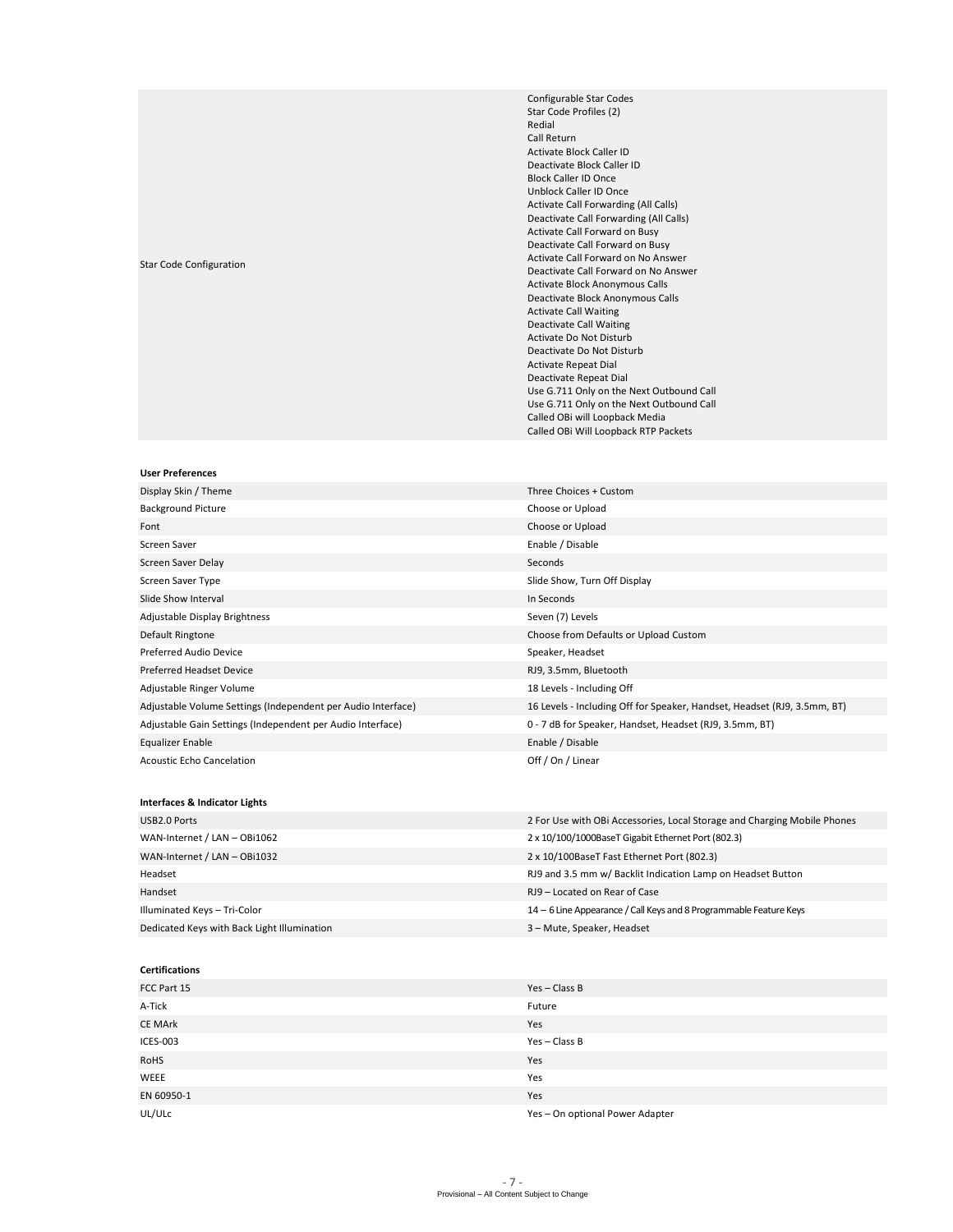# Star Code Configuration

Configurable Star Codes Star Code Profiles (2) Redial Call Return Activate Block Caller ID Deactivate Block Caller ID Block Caller ID Once Unblock Caller ID Once Activate Call Forwarding (All Calls) Deactivate Call Forwarding (All Calls) Activate Call Forward on Busy Deactivate Call Forward on Busy Activate Call Forward on No Answer Deactivate Call Forward on No Answer Activate Block Anonymous Calls Deactivate Block Anonymous Calls Activate Call Waiting Deactivate Call Waiting Activate Do Not Disturb Deactivate Do Not Disturb Activate Repeat Dial Deactivate Repeat Dial Use G.711 Only on the Next Outbound Call Use G.711 Only on the Next Outbound Call Called OBi will Loopback Media Called OBi Will Loopback RTP Packets

#### **User Preferences**

| Display Skin / Theme                                         | Three Choices + Custom                                                   |
|--------------------------------------------------------------|--------------------------------------------------------------------------|
| <b>Background Picture</b>                                    | Choose or Upload                                                         |
| Font                                                         | Choose or Upload                                                         |
| Screen Saver                                                 | Enable / Disable                                                         |
| Screen Saver Delay                                           | Seconds                                                                  |
| Screen Saver Type                                            | Slide Show, Turn Off Display                                             |
| Slide Show Interval                                          | In Seconds                                                               |
| Adjustable Display Brightness                                | Seven (7) Levels                                                         |
| Default Ringtone                                             | Choose from Defaults or Upload Custom                                    |
| Preferred Audio Device                                       | Speaker, Headset                                                         |
| Preferred Headset Device                                     | RJ9, 3.5mm, Bluetooth                                                    |
| Adjustable Ringer Volume                                     | 18 Levels - Including Off                                                |
| Adjustable Volume Settings (Independent per Audio Interface) | 16 Levels - Including Off for Speaker, Handset, Headset (RJ9, 3.5mm, BT) |
| Adjustable Gain Settings (Independent per Audio Interface)   | 0 - 7 dB for Speaker, Handset, Headset (RJ9, 3.5mm, BT)                  |
| Equalizer Enable                                             | Enable / Disable                                                         |
| <b>Acoustic Echo Cancelation</b>                             | Off / On / Linear                                                        |

# **Interfaces & Indicator Lights**

| USB2.0 Ports                                | 2 For Use with OBI Accessories, Local Storage and Charging Mobile Phones |
|---------------------------------------------|--------------------------------------------------------------------------|
| WAN-Internet / LAN - OBi1062                | 2 x 10/100/1000BaseT Gigabit Ethernet Port (802.3)                       |
| WAN-Internet / LAN - OBi1032                | 2 x 10/100BaseT Fast Ethernet Port (802.3)                               |
| Headset                                     | RJ9 and 3.5 mm w/ Backlit Indication Lamp on Headset Button              |
| Handset                                     | RJ9 - Located on Rear of Case                                            |
| Illuminated Keys - Tri-Color                | 14 – 6 Line Appearance / Call Keys and 8 Programmable Feature Keys       |
| Dedicated Keys with Back Light Illumination | 3 - Mute, Speaker, Headset                                               |

### **Certifications**

| FCC Part 15    | Yes-Class B                     |
|----------------|---------------------------------|
| A-Tick         | Future                          |
| <b>CE MArk</b> | Yes                             |
| ICES-003       | Yes - Class B                   |
| <b>RoHS</b>    | Yes                             |
| <b>WEEE</b>    | Yes                             |
| EN 60950-1     | Yes                             |
| UL/ULC         | Yes - On optional Power Adapter |